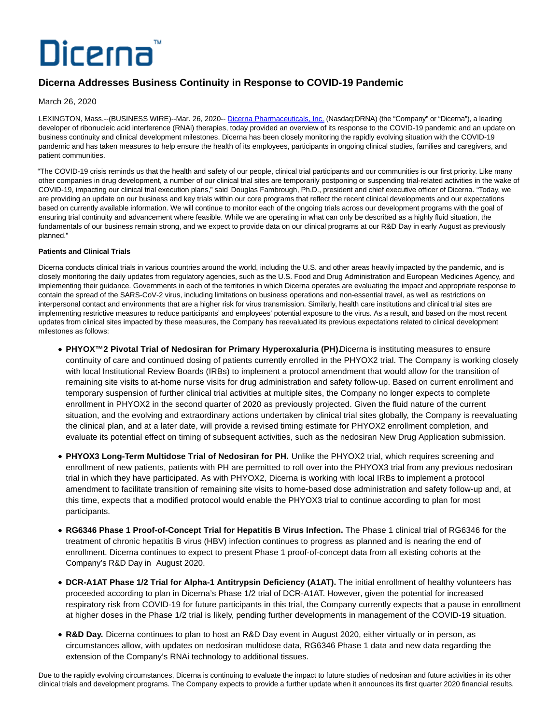# Dicerna

## **Dicerna Addresses Business Continuity in Response to COVID-19 Pandemic**

March 26, 2020

LEXINGTON, Mass.--(BUSINESS WIRE)--Mar. 26, 2020-- [Dicerna Pharmaceuticals, Inc. \(](https://cts.businesswire.com/ct/CT?id=smartlink&url=http%3A%2F%2Fwww.dicerna.com&esheet=52195121&newsitemid=20200326005665&lan=en-US&anchor=Dicerna+Pharmaceuticals%2C+Inc.&index=1&md5=e1528f13068eb63a6ad9ea3ff3d964be)Nasdaq:DRNA) (the "Company" or "Dicerna"), a leading developer of ribonucleic acid interference (RNAi) therapies, today provided an overview of its response to the COVID-19 pandemic and an update on business continuity and clinical development milestones. Dicerna has been closely monitoring the rapidly evolving situation with the COVID-19 pandemic and has taken measures to help ensure the health of its employees, participants in ongoing clinical studies, families and caregivers, and patient communities.

"The COVID-19 crisis reminds us that the health and safety of our people, clinical trial participants and our communities is our first priority. Like many other companies in drug development, a number of our clinical trial sites are temporarily postponing or suspending trial-related activities in the wake of COVID-19, impacting our clinical trial execution plans," said Douglas Fambrough, Ph.D., president and chief executive officer of Dicerna. "Today, we are providing an update on our business and key trials within our core programs that reflect the recent clinical developments and our expectations based on currently available information. We will continue to monitor each of the ongoing trials across our development programs with the goal of ensuring trial continuity and advancement where feasible. While we are operating in what can only be described as a highly fluid situation, the fundamentals of our business remain strong, and we expect to provide data on our clinical programs at our R&D Day in early August as previously planned."

### **Patients and Clinical Trials**

Dicerna conducts clinical trials in various countries around the world, including the U.S. and other areas heavily impacted by the pandemic, and is closely monitoring the daily updates from regulatory agencies, such as the U.S. Food and Drug Administration and European Medicines Agency, and implementing their guidance. Governments in each of the territories in which Dicerna operates are evaluating the impact and appropriate response to contain the spread of the SARS-CoV-2 virus, including limitations on business operations and non-essential travel, as well as restrictions on interpersonal contact and environments that are a higher risk for virus transmission. Similarly, health care institutions and clinical trial sites are implementing restrictive measures to reduce participants' and employees' potential exposure to the virus. As a result, and based on the most recent updates from clinical sites impacted by these measures, the Company has reevaluated its previous expectations related to clinical development milestones as follows:

- PHYOX<sup>™</sup>2 Pivotal Trial of Nedosiran for Primary Hyperoxaluria (PH). Dicerna is instituting measures to ensure continuity of care and continued dosing of patients currently enrolled in the PHYOX2 trial. The Company is working closely with local Institutional Review Boards (IRBs) to implement a protocol amendment that would allow for the transition of remaining site visits to at-home nurse visits for drug administration and safety follow-up. Based on current enrollment and temporary suspension of further clinical trial activities at multiple sites, the Company no longer expects to complete enrollment in PHYOX2 in the second quarter of 2020 as previously projected. Given the fluid nature of the current situation, and the evolving and extraordinary actions undertaken by clinical trial sites globally, the Company is reevaluating the clinical plan, and at a later date, will provide a revised timing estimate for PHYOX2 enrollment completion, and evaluate its potential effect on timing of subsequent activities, such as the nedosiran New Drug Application submission.
- **PHYOX3 Long-Term Multidose Trial of Nedosiran for PH.** Unlike the PHYOX2 trial, which requires screening and enrollment of new patients, patients with PH are permitted to roll over into the PHYOX3 trial from any previous nedosiran trial in which they have participated. As with PHYOX2, Dicerna is working with local IRBs to implement a protocol amendment to facilitate transition of remaining site visits to home-based dose administration and safety follow-up and, at this time, expects that a modified protocol would enable the PHYOX3 trial to continue according to plan for most participants.
- **RG6346 Phase 1 Proof-of-Concept Trial for Hepatitis B Virus Infection.** The Phase 1 clinical trial of RG6346 for the treatment of chronic hepatitis B virus (HBV) infection continues to progress as planned and is nearing the end of enrollment. Dicerna continues to expect to present Phase 1 proof-of-concept data from all existing cohorts at the Company's R&D Day in August 2020.
- **DCR-A1AT Phase 1/2 Trial for Alpha-1 Antitrypsin Deficiency (A1AT).** The initial enrollment of healthy volunteers has proceeded according to plan in Dicerna's Phase 1/2 trial of DCR-A1AT. However, given the potential for increased respiratory risk from COVID-19 for future participants in this trial, the Company currently expects that a pause in enrollment at higher doses in the Phase 1/2 trial is likely, pending further developments in management of the COVID-19 situation.
- **R&D Day.** Dicerna continues to plan to host an R&D Day event in August 2020, either virtually or in person, as circumstances allow, with updates on nedosiran multidose data, RG6346 Phase 1 data and new data regarding the extension of the Company's RNAi technology to additional tissues.

Due to the rapidly evolving circumstances, Dicerna is continuing to evaluate the impact to future studies of nedosiran and future activities in its other clinical trials and development programs. The Company expects to provide a further update when it announces its first quarter 2020 financial results.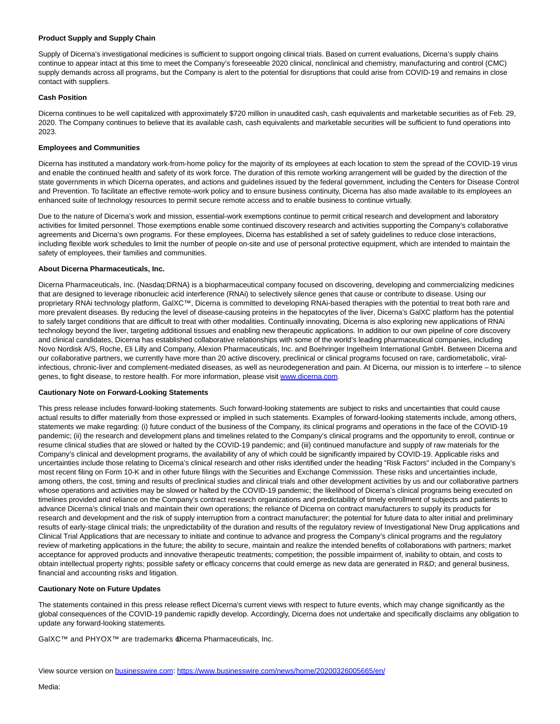#### **Product Supply and Supply Chain**

Supply of Dicerna's investigational medicines is sufficient to support ongoing clinical trials. Based on current evaluations, Dicerna's supply chains continue to appear intact at this time to meet the Company's foreseeable 2020 clinical, nonclinical and chemistry, manufacturing and control (CMC) supply demands across all programs, but the Company is alert to the potential for disruptions that could arise from COVID-19 and remains in close contact with suppliers.

#### **Cash Position**

Dicerna continues to be well capitalized with approximately \$720 million in unaudited cash, cash equivalents and marketable securities as of Feb. 29, 2020. The Company continues to believe that its available cash, cash equivalents and marketable securities will be sufficient to fund operations into 2023.

#### **Employees and Communities**

Dicerna has instituted a mandatory work-from-home policy for the majority of its employees at each location to stem the spread of the COVID-19 virus and enable the continued health and safety of its work force. The duration of this remote working arrangement will be guided by the direction of the state governments in which Dicerna operates, and actions and guidelines issued by the federal government, including the Centers for Disease Control and Prevention. To facilitate an effective remote-work policy and to ensure business continuity, Dicerna has also made available to its employees an enhanced suite of technology resources to permit secure remote access and to enable business to continue virtually.

Due to the nature of Dicerna's work and mission, essential-work exemptions continue to permit critical research and development and laboratory activities for limited personnel. Those exemptions enable some continued discovery research and activities supporting the Company's collaborative agreements and Dicerna's own programs. For these employees, Dicerna has established a set of safety guidelines to reduce close interactions, including flexible work schedules to limit the number of people on-site and use of personal protective equipment, which are intended to maintain the safety of employees, their families and communities.

#### **About Dicerna Pharmaceuticals, Inc.**

Dicerna Pharmaceuticals, Inc. (Nasdaq:DRNA) is a biopharmaceutical company focused on discovering, developing and commercializing medicines that are designed to leverage ribonucleic acid interference (RNAi) to selectively silence genes that cause or contribute to disease. Using our proprietary RNAi technology platform, GalXC™, Dicerna is committed to developing RNAi-based therapies with the potential to treat both rare and more prevalent diseases. By reducing the level of disease-causing proteins in the hepatocytes of the liver, Dicerna's GalXC platform has the potential to safely target conditions that are difficult to treat with other modalities. Continually innovating, Dicerna is also exploring new applications of RNAi technology beyond the liver, targeting additional tissues and enabling new therapeutic applications. In addition to our own pipeline of core discovery and clinical candidates, Dicerna has established collaborative relationships with some of the world's leading pharmaceutical companies, including Novo Nordisk A/S, Roche, Eli Lilly and Company, Alexion Pharmaceuticals, Inc. and Boehringer Ingelheim International GmbH. Between Dicerna and our collaborative partners, we currently have more than 20 active discovery, preclinical or clinical programs focused on rare, cardiometabolic, viralinfectious, chronic-liver and complement-mediated diseases, as well as neurodegeneration and pain. At Dicerna, our mission is to interfere – to silence genes, to fight disease, to restore health. For more information, please visit [www.dicerna.com.](https://cts.businesswire.com/ct/CT?id=smartlink&url=http%3A%2F%2Fwww.dicerna.com&esheet=52195121&newsitemid=20200326005665&lan=en-US&anchor=www.dicerna.com&index=2&md5=13731ef0735747bc6153753cf437ff0d)

#### **Cautionary Note on Forward-Looking Statements**

This press release includes forward-looking statements. Such forward-looking statements are subject to risks and uncertainties that could cause actual results to differ materially from those expressed or implied in such statements. Examples of forward-looking statements include, among others, statements we make regarding: (i) future conduct of the business of the Company, its clinical programs and operations in the face of the COVID-19 pandemic; (ii) the research and development plans and timelines related to the Company's clinical programs and the opportunity to enroll, continue or resume clinical studies that are slowed or halted by the COVID-19 pandemic; and (iii) continued manufacture and supply of raw materials for the Company's clinical and development programs, the availability of any of which could be significantly impaired by COVID-19. Applicable risks and uncertainties include those relating to Dicerna's clinical research and other risks identified under the heading "Risk Factors" included in the Company's most recent filing on Form 10-K and in other future filings with the Securities and Exchange Commission. These risks and uncertainties include, among others, the cost, timing and results of preclinical studies and clinical trials and other development activities by us and our collaborative partners whose operations and activities may be slowed or halted by the COVID-19 pandemic; the likelihood of Dicerna's clinical programs being executed on timelines provided and reliance on the Company's contract research organizations and predictability of timely enrollment of subjects and patients to advance Dicerna's clinical trials and maintain their own operations; the reliance of Dicerna on contract manufacturers to supply its products for research and development and the risk of supply interruption from a contract manufacturer; the potential for future data to alter initial and preliminary results of early-stage clinical trials; the unpredictability of the duration and results of the regulatory review of Investigational New Drug applications and Clinical Trial Applications that are necessary to initiate and continue to advance and progress the Company's clinical programs and the regulatory review of marketing applications in the future; the ability to secure, maintain and realize the intended benefits of collaborations with partners; market acceptance for approved products and innovative therapeutic treatments; competition; the possible impairment of, inability to obtain, and costs to obtain intellectual property rights; possible safety or efficacy concerns that could emerge as new data are generated in R&D; and general business, financial and accounting risks and litigation.

#### **Cautionary Note on Future Updates**

The statements contained in this press release reflect Dicerna's current views with respect to future events, which may change significantly as the global consequences of the COVID-19 pandemic rapidly develop. Accordingly, Dicerna does not undertake and specifically disclaims any obligation to update any forward-looking statements.

GalXC™ and PHYOX™ are trademarks @icerna Pharmaceuticals, Inc.